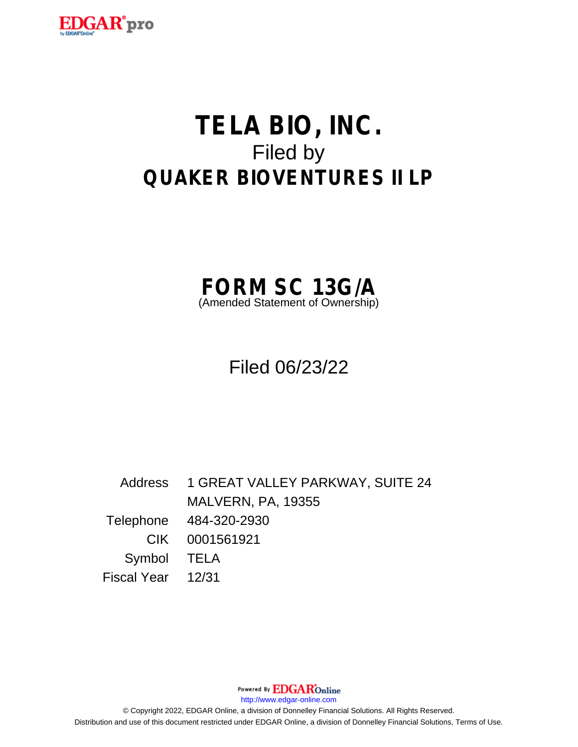

# **TELA BIO, INC.** Filed by **QUAKER BIOVENTURES II LP**



Filed 06/23/22

Address 1 GREAT VALLEY PARKWAY, SUITE 24 MALVERN, PA, 19355 Telephone 484-320-2930 CIK 0001561921 Symbol TELA Fiscal Year 12/31

Powered By **EDGAR**Online

http://www.edgar-online.com

© Copyright 2022, EDGAR Online, a division of Donnelley Financial Solutions. All Rights Reserved. Distribution and use of this document restricted under EDGAR Online, a division of Donnelley Financial Solutions, Terms of Use.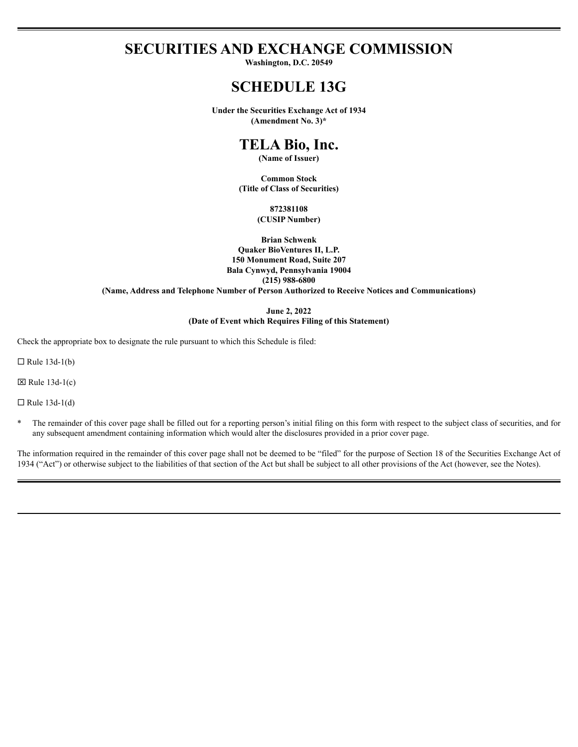# **SECURITIES AND EXCHANGE COMMISSION**

Washington, D.C. 20549

# **SCHEDULE 13G**

**Under the Securities Exchange Act of 1934** (Amendment No. 3)\*

# TELA Bio, Inc.

(Name of Issuer)

**Common Stock** (Title of Class of Securities)

> 872381108 (CUSIP Number)

**Brian Schwenk Ouaker BioVentures II, L.P.** 150 Monument Road, Suite 207 Bala Cynwyd, Pennsylvania 19004  $(215)$  988-6800 (Name, Address and Telephone Number of Person Authorized to Receive Notices and Communications)

> June 2, 2022 (Date of Event which Requires Filing of this Statement)

Check the appropriate box to designate the rule pursuant to which this Schedule is filed:

 $\Box$  Rule 13d-1(b)

 $\boxtimes$  Rule 13d-1(c)

 $\Box$  Rule 13d-1(d)

 $\ast$ The remainder of this cover page shall be filled out for a reporting person's initial filing on this form with respect to the subject class of securities, and for any subsequent amendment containing information which would alter the disclosures provided in a prior cover page.

The information required in the remainder of this cover page shall not be deemed to be "filed" for the purpose of Section 18 of the Securities Exchange Act of 1934 ("Act") or otherwise subject to the liabilities of that section of the Act but shall be subject to all other provisions of the Act (however, see the Notes).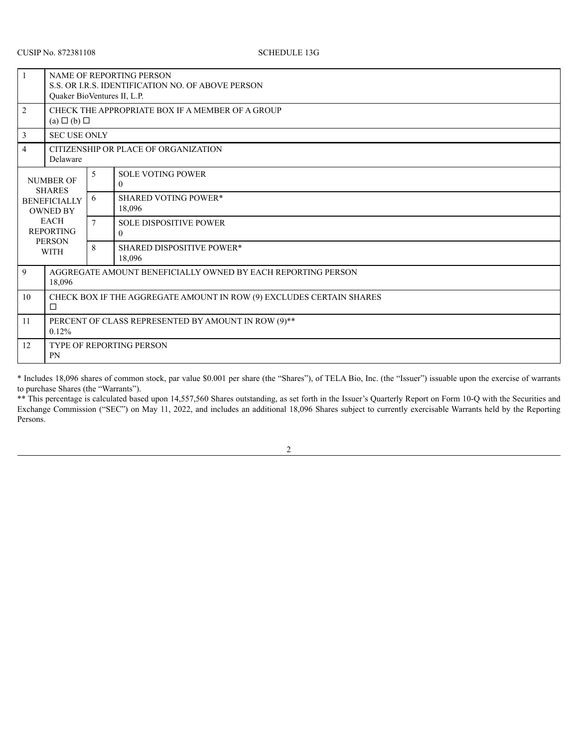| $\overline{1}$                                                                                                                                 | NAME OF REPORTING PERSON<br>S.S. OR I.R.S. IDENTIFICATION NO. OF ABOVE PERSON<br>Quaker BioVentures II, L.P. |                |                                            |  |  |  |
|------------------------------------------------------------------------------------------------------------------------------------------------|--------------------------------------------------------------------------------------------------------------|----------------|--------------------------------------------|--|--|--|
| $\overline{2}$                                                                                                                                 | CHECK THE APPROPRIATE BOX IF A MEMBER OF A GROUP<br>$(a) \Box (b) \Box$                                      |                |                                            |  |  |  |
| 3                                                                                                                                              | <b>SEC USE ONLY</b>                                                                                          |                |                                            |  |  |  |
| $\overline{4}$                                                                                                                                 | CITIZENSHIP OR PLACE OF ORGANIZATION<br>Delaware                                                             |                |                                            |  |  |  |
| <b>NUMBER OF</b><br><b>SHARES</b><br><b>BENEFICIALLY</b><br><b>OWNED BY</b><br><b>EACH</b><br><b>REPORTING</b><br><b>PERSON</b><br><b>WITH</b> |                                                                                                              | 5              | <b>SOLE VOTING POWER</b><br>$\Omega$       |  |  |  |
|                                                                                                                                                |                                                                                                              | 6              | <b>SHARED VOTING POWER*</b><br>18.096      |  |  |  |
|                                                                                                                                                |                                                                                                              | $\overline{7}$ | <b>SOLE DISPOSITIVE POWER</b><br>$\theta$  |  |  |  |
|                                                                                                                                                |                                                                                                              | 8              | <b>SHARED DISPOSITIVE POWER*</b><br>18,096 |  |  |  |
| 9                                                                                                                                              | AGGREGATE AMOUNT BENEFICIALLY OWNED BY EACH REPORTING PERSON<br>18,096                                       |                |                                            |  |  |  |
| 10                                                                                                                                             | CHECK BOX IF THE AGGREGATE AMOUNT IN ROW (9) EXCLUDES CERTAIN SHARES<br>$\Box$                               |                |                                            |  |  |  |
| 11                                                                                                                                             | PERCENT OF CLASS REPRESENTED BY AMOUNT IN ROW (9)**<br>0.12%                                                 |                |                                            |  |  |  |
| 12                                                                                                                                             | <b>TYPE OF REPORTING PERSON</b><br><b>PN</b>                                                                 |                |                                            |  |  |  |

\* Includes 18,096 shares of common stock, par value \$0.001 per share (the "Shares"), of TELA Bio, Inc. (the "Issuer") issuable upon the exercise of warrants to purchase Shares (the "Warrants").

\*\* This percentage is calculated based upon 14,557,560 Shares outstanding, as set forth in the Issuer's Quarterly Report on Form 10-Q with the Securities and Exchange Commission ("SEC") on May 11, 2022, and includes an additional 18,096 Shares subject to currently exercisable Warrants held by the Reporting Persons.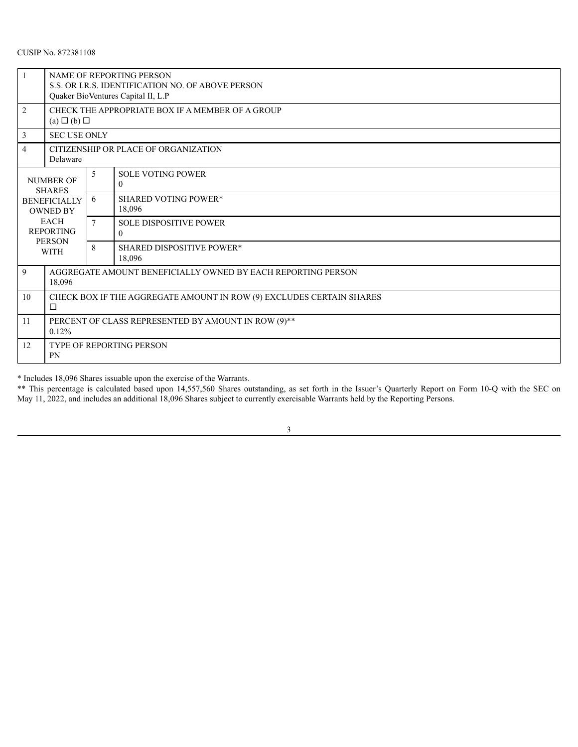# CUSIP No. 872381108

|                                                                 | NAME OF REPORTING PERSON<br>S.S. OR I.R.S. IDENTIFICATION NO. OF ABOVE PERSON<br>Quaker BioVentures Capital II, L.P |                |                                                 |  |  |  |
|-----------------------------------------------------------------|---------------------------------------------------------------------------------------------------------------------|----------------|-------------------------------------------------|--|--|--|
| $\overline{2}$                                                  | CHECK THE APPROPRIATE BOX IF A MEMBER OF A GROUP<br>$(a) \Box (b) \Box$                                             |                |                                                 |  |  |  |
| 3                                                               | <b>SEC USE ONLY</b>                                                                                                 |                |                                                 |  |  |  |
| 4                                                               | CITIZENSHIP OR PLACE OF ORGANIZATION<br>Delaware                                                                    |                |                                                 |  |  |  |
| <b>NUMBER OF</b><br><b>SHARES</b>                               |                                                                                                                     | 5              | <b>SOLE VOTING POWER</b><br>$\theta$            |  |  |  |
|                                                                 | <b>BENEFICIALLY</b><br><b>OWNED BY</b>                                                                              |                | <b>SHARED VOTING POWER*</b><br>18,096           |  |  |  |
| <b>EACH</b><br><b>REPORTING</b><br><b>PERSON</b><br><b>WITH</b> |                                                                                                                     | $\overline{7}$ | <b>SOLE DISPOSITIVE POWER</b><br>$\overline{0}$ |  |  |  |
|                                                                 |                                                                                                                     | $\mathbf{8}$   | <b>SHARED DISPOSITIVE POWER*</b><br>18,096      |  |  |  |
| 9                                                               | AGGREGATE AMOUNT BENEFICIALLY OWNED BY EACH REPORTING PERSON<br>18,096                                              |                |                                                 |  |  |  |
| 10                                                              | CHECK BOX IF THE AGGREGATE AMOUNT IN ROW (9) EXCLUDES CERTAIN SHARES<br>$\Box$                                      |                |                                                 |  |  |  |
| 11                                                              | PERCENT OF CLASS REPRESENTED BY AMOUNT IN ROW (9)**<br>0.12%                                                        |                |                                                 |  |  |  |
| 12                                                              | <b>TYPE OF REPORTING PERSON</b><br><b>PN</b>                                                                        |                |                                                 |  |  |  |

\* Includes 18,096 Shares issuable upon the exercise of the Warrants.

\*\* This percentage is calculated based upon 14,557,560 Shares outstanding, as set forth in the Issuer's Quarterly Report on Form 10-Q with the SEC on May 11, 2022, and includes an additional 18,096 Shares subject to currently exercisable Warrants held by the Reporting Persons.

3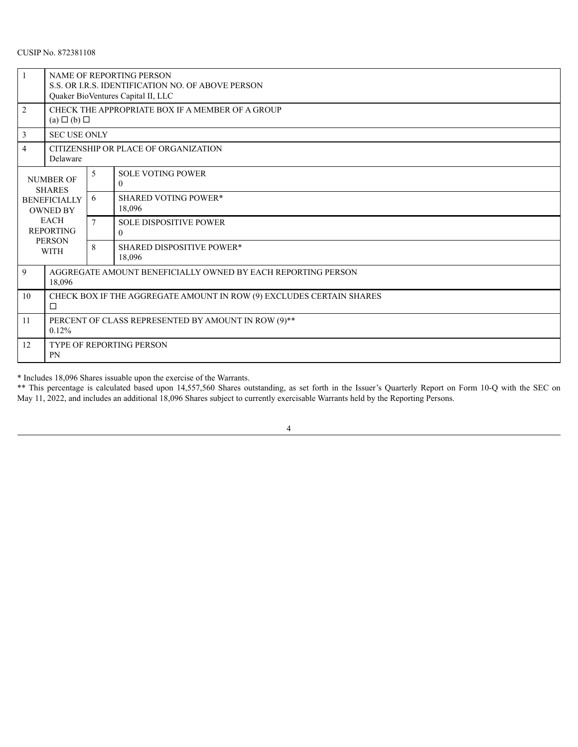# CUSIP No. 872381108

|                                                                 | <b>NAME OF REPORTING PERSON</b><br>S.S. OR I.R.S. IDENTIFICATION NO. OF ABOVE PERSON<br>Quaker BioVentures Capital II, LLC |                |                                                 |  |  |  |
|-----------------------------------------------------------------|----------------------------------------------------------------------------------------------------------------------------|----------------|-------------------------------------------------|--|--|--|
| $\overline{2}$                                                  | CHECK THE APPROPRIATE BOX IF A MEMBER OF A GROUP<br>$(a) \Box (b) \Box$                                                    |                |                                                 |  |  |  |
| 3                                                               | <b>SEC USE ONLY</b>                                                                                                        |                |                                                 |  |  |  |
| 4                                                               | CITIZENSHIP OR PLACE OF ORGANIZATION<br>Delaware                                                                           |                |                                                 |  |  |  |
| <b>NUMBER OF</b><br><b>SHARES</b>                               |                                                                                                                            | 5              | <b>SOLE VOTING POWER</b><br>$\theta$            |  |  |  |
|                                                                 | <b>BENEFICIALLY</b><br><b>OWNED BY</b>                                                                                     |                | <b>SHARED VOTING POWER*</b><br>18,096           |  |  |  |
| <b>EACH</b><br><b>REPORTING</b><br><b>PERSON</b><br><b>WITH</b> |                                                                                                                            | $\overline{7}$ | <b>SOLE DISPOSITIVE POWER</b><br>$\overline{0}$ |  |  |  |
|                                                                 |                                                                                                                            | 8              | <b>SHARED DISPOSITIVE POWER*</b><br>18,096      |  |  |  |
| 9                                                               | AGGREGATE AMOUNT BENEFICIALLY OWNED BY EACH REPORTING PERSON<br>18,096                                                     |                |                                                 |  |  |  |
| 10                                                              | CHECK BOX IF THE AGGREGATE AMOUNT IN ROW (9) EXCLUDES CERTAIN SHARES<br>□                                                  |                |                                                 |  |  |  |
| 11                                                              | PERCENT OF CLASS REPRESENTED BY AMOUNT IN ROW (9)**<br>0.12%                                                               |                |                                                 |  |  |  |
| 12                                                              | <b>TYPE OF REPORTING PERSON</b><br>PN                                                                                      |                |                                                 |  |  |  |

\* Includes 18,096 Shares issuable upon the exercise of the Warrants.

<u> 1989 - Johann Barn, mars eta bainar eta idazlea (</u>

\*\* This percentage is calculated based upon 14,557,560 Shares outstanding, as set forth in the Issuer's Quarterly Report on Form 10-Q with the SEC on May 11, 2022, and includes an additional 18,096 Shares subject to currently exercisable Warrants held by the Reporting Persons.

4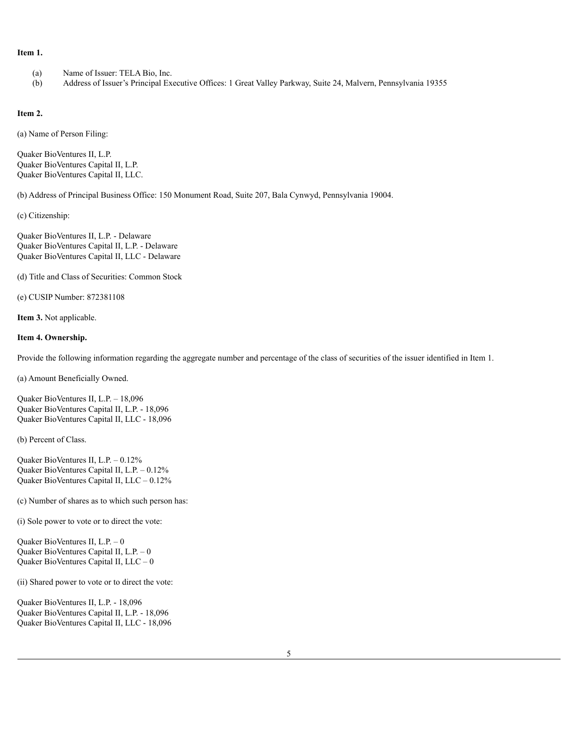#### **Item 1.**

- (a) Name of Issuer: TELA Bio, Inc.
- (b) Address of Issuer's Principal Executive Offices: 1 Great Valley Parkway, Suite 24, Malvern, Pennsylvania 19355

#### **Item 2.**

(a) Name of Person Filing:

Quaker BioVentures II, L.P. Quaker BioVentures Capital II, L.P. Quaker BioVentures Capital II, LLC.

(b) Address of Principal Business Office: 150 Monument Road, Suite 207, Bala Cynwyd, Pennsylvania 19004.

(c) Citizenship:

Quaker BioVentures II, L.P. - Delaware Quaker BioVentures Capital II, L.P. - Delaware Quaker BioVentures Capital II, LLC - Delaware

(d) Title and Class of Securities: Common Stock

(e) CUSIP Number: 872381108

**Item 3.** Not applicable.

#### **Item 4. Ownership.**

Provide the following information regarding the aggregate number and percentage of the class of securities of the issuer identified in Item 1.

(a) Amount Beneficially Owned.

Quaker BioVentures II, L.P. – 18,096 Quaker BioVentures Capital II, L.P. - 18,096 Quaker BioVentures Capital II, LLC - 18,096

(b) Percent of Class.

Quaker BioVentures II, L.P. – 0.12% Quaker BioVentures Capital II, L.P. – 0.12% Quaker BioVentures Capital II, LLC – 0.12%

(c) Number of shares as to which such person has:

(i) Sole power to vote or to direct the vote:

Quaker BioVentures II, L.P. – 0 Quaker BioVentures Capital II, L.P. – 0 Quaker BioVentures Capital II, LLC – 0

(ii) Shared power to vote or to direct the vote:

Quaker BioVentures II, L.P. - 18,096 Quaker BioVentures Capital II, L.P. - 18,096 Quaker BioVentures Capital II, LLC - 18,096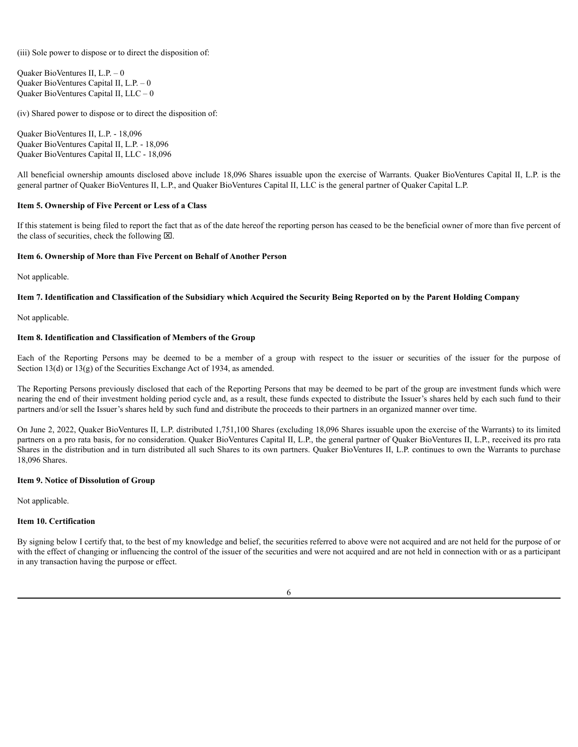(iii) Sole power to dispose or to direct the disposition of:

Quaker BioVentures II, L.P. – 0 Quaker BioVentures Capital II, L.P. – 0 Quaker BioVentures Capital II, LLC – 0

(iv) Shared power to dispose or to direct the disposition of:

Quaker BioVentures II, L.P. - 18,096 Quaker BioVentures Capital II, L.P. - 18,096 Quaker BioVentures Capital II, LLC - 18,096

All beneficial ownership amounts disclosed above include 18,096 Shares issuable upon the exercise of Warrants. Quaker BioVentures Capital II, L.P. is the general partner of Quaker BioVentures II, L.P., and Quaker BioVentures Capital II, LLC is the general partner of Quaker Capital L.P.

## **Item 5. Ownership of Five Percent or Less of a Class**

If this statement is being filed to report the fact that as of the date hereof the reporting person has ceased to be the beneficial owner of more than five percent of the class of securities, check the following  $\boxtimes$ .

#### **Item 6. Ownership of More than Five Percent on Behalf of Another Person**

Not applicable.

### Item 7. Identification and Classification of the Subsidiary which Acquired the Security Being Reported on by the Parent Holding Company

Not applicable.

#### **Item 8. Identification and Classification of Members of the Group**

Each of the Reporting Persons may be deemed to be a member of a group with respect to the issuer or securities of the issuer for the purpose of Section 13(d) or 13(g) of the Securities Exchange Act of 1934, as amended.

The Reporting Persons previously disclosed that each of the Reporting Persons that may be deemed to be part of the group are investment funds which were nearing the end of their investment holding period cycle and, as a result, these funds expected to distribute the Issuer's shares held by each such fund to their partners and/or sell the Issuer's shares held by such fund and distribute the proceeds to their partners in an organized manner over time.

On June 2, 2022, Quaker BioVentures II, L.P. distributed 1,751,100 Shares (excluding 18,096 Shares issuable upon the exercise of the Warrants) to its limited partners on a pro rata basis, for no consideration. Quaker BioVentures Capital II, L.P., the general partner of Quaker BioVentures II, L.P., received its pro rata Shares in the distribution and in turn distributed all such Shares to its own partners. Quaker BioVentures II, L.P. continues to own the Warrants to purchase 18,096 Shares.

### **Item 9. Notice of Dissolution of Group**

Not applicable.

### **Item 10. Certification**

By signing below I certify that, to the best of my knowledge and belief, the securities referred to above were not acquired and are not held for the purpose of or with the effect of changing or influencing the control of the issuer of the securities and were not acquired and are not held in connection with or as a participant in any transaction having the purpose or effect.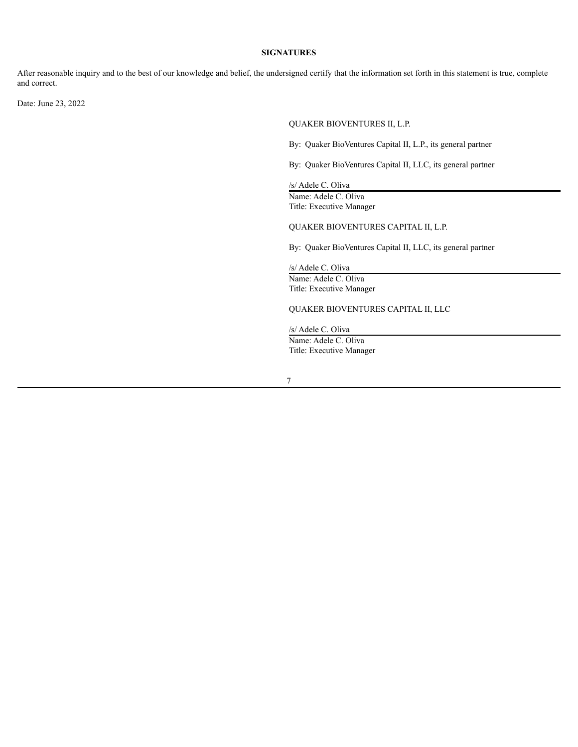#### **SIGNATURES**

After reasonable inquiry and to the best of our knowledge and belief, the undersigned certify that the information set forth in this statement is true, complete and correct.

Date: June 23, 2022

QUAKER BIOVENTURES II, L.P.

By: Quaker BioVentures Capital II, L.P., its general partner

By: Quaker BioVentures Capital II, LLC, its general partner

/s/ Adele C. Oliva Name: Adele C. Oliva

Title: Executive Manager

QUAKER BIOVENTURES CAPITAL II, L.P.

By: Quaker BioVentures Capital II, LLC, its general partner

/s/ Adele C. Oliva Name: Adele C. Oliva Title: Executive Manager

QUAKER BIOVENTURES CAPITAL II, LLC

/s/ Adele C. Oliva Name: Adele C. Oliva Title: Executive Manager